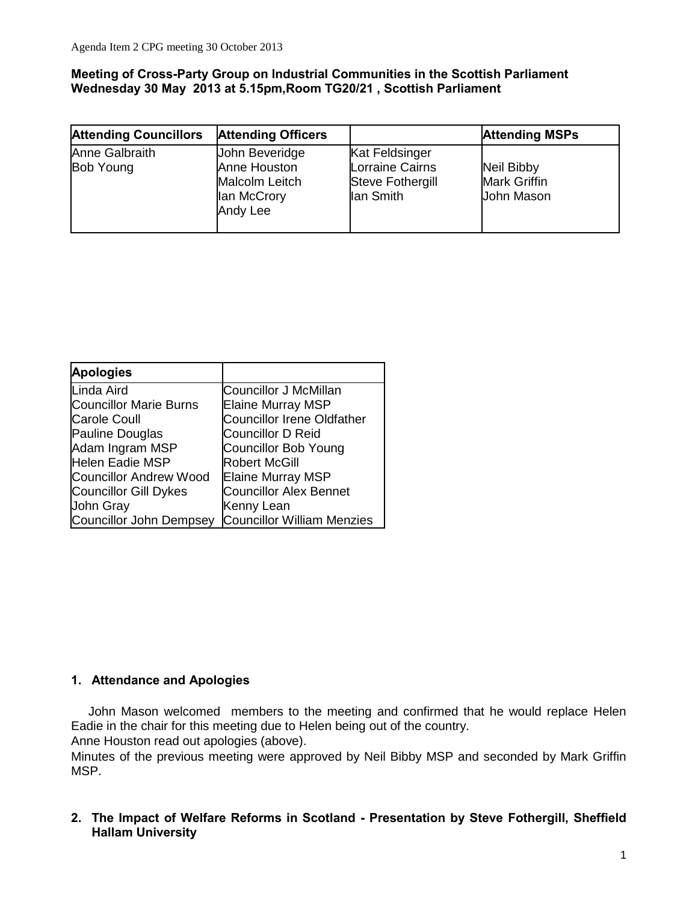# **Meeting of Cross-Party Group on lndustrial Communities in the Scottish Parliament Wednesday 30 May 2013 at 5.15pm,Room TG20/21 , Scottish Parliament**

| <b>Attending Councillors</b>       | <b>Attending Officers</b>                                                   |                                                                           | <b>Attending MSPs</b>                                         |
|------------------------------------|-----------------------------------------------------------------------------|---------------------------------------------------------------------------|---------------------------------------------------------------|
| Anne Galbraith<br><b>Bob Young</b> | John Beveridge<br>Anne Houston<br>Malcolm Leitch<br>lan McCrory<br>Andy Lee | Kat Feldsinger<br>Lorraine Cairns<br><b>Steve Fothergill</b><br>lan Smith | <b>Neil Bibby</b><br><b>Mark Griffin</b><br><b>John Mason</b> |

| <b>Apologies</b>              |                                   |  |
|-------------------------------|-----------------------------------|--|
| Linda Aird                    | Councillor J McMillan             |  |
| <b>Councillor Marie Burns</b> | <b>Elaine Murray MSP</b>          |  |
| <b>Carole Coull</b>           | <b>Councillor Irene Oldfather</b> |  |
| Pauline Douglas               | <b>Councillor D Reid</b>          |  |
| Adam Ingram MSP               | <b>Councillor Bob Young</b>       |  |
| Helen Eadie MSP               | <b>Robert McGill</b>              |  |
| <b>Councillor Andrew Wood</b> | <b>Elaine Murray MSP</b>          |  |
| <b>Councillor Gill Dykes</b>  | <b>Councillor Alex Bennet</b>     |  |
| <b>John Gray</b>              | Kenny Lean                        |  |
| Councillor John Dempsey       | <b>Councillor William Menzies</b> |  |

## **1. Attendance and Apologies**

John Mason welcomed members to the meeting and confirmed that he would replace Helen Eadie in the chair for this meeting due to Helen being out of the country.

Anne Houston read out apologies (above).

Minutes of the previous meeting were approved by Neil Bibby MSP and seconded by Mark Griffin MSP.

**2. The Impact of Welfare Reforms in Scotland - Presentation by Steve Fothergill, Sheffield Hallam University**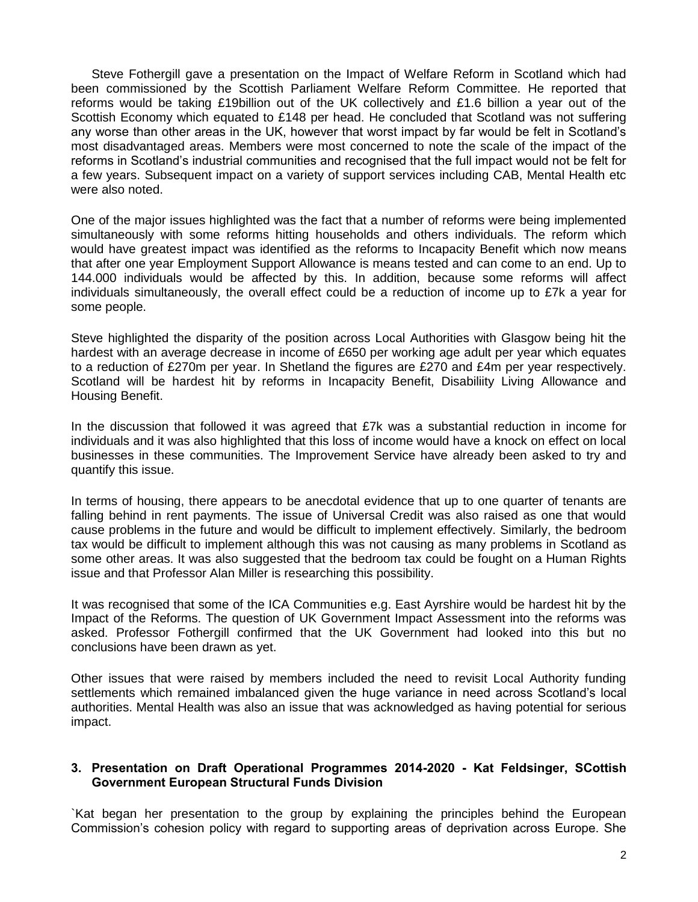Steve Fothergill gave a presentation on the Impact of Welfare Reform in Scotland which had been commissioned by the Scottish Parliament Welfare Reform Committee. He reported that reforms would be taking £19billion out of the UK collectively and £1.6 billion a year out of the Scottish Economy which equated to £148 per head. He concluded that Scotland was not suffering any worse than other areas in the UK, however that worst impact by far would be felt in Scotland's most disadvantaged areas. Members were most concerned to note the scale of the impact of the reforms in Scotland's industrial communities and recognised that the full impact would not be felt for a few years. Subsequent impact on a variety of support services including CAB, Mental Health etc were also noted.

One of the major issues highlighted was the fact that a number of reforms were being implemented simultaneously with some reforms hitting households and others individuals. The reform which would have greatest impact was identified as the reforms to Incapacity Benefit which now means that after one year Employment Support Allowance is means tested and can come to an end. Up to 144.000 individuals would be affected by this. In addition, because some reforms will affect individuals simultaneously, the overall effect could be a reduction of income up to £7k a year for some people.

Steve highlighted the disparity of the position across Local Authorities with Glasgow being hit the hardest with an average decrease in income of £650 per working age adult per year which equates to a reduction of £270m per year. In Shetland the figures are £270 and £4m per year respectively. Scotland will be hardest hit by reforms in Incapacity Benefit, Disabiliity Living Allowance and Housing Benefit.

In the discussion that followed it was agreed that £7k was a substantial reduction in income for individuals and it was also highlighted that this loss of income would have a knock on effect on local businesses in these communities. The Improvement Service have already been asked to try and quantify this issue.

In terms of housing, there appears to be anecdotal evidence that up to one quarter of tenants are falling behind in rent payments. The issue of Universal Credit was also raised as one that would cause problems in the future and would be difficult to implement effectively. Similarly, the bedroom tax would be difficult to implement although this was not causing as many problems in Scotland as some other areas. It was also suggested that the bedroom tax could be fought on a Human Rights issue and that Professor Alan Miller is researching this possibility.

It was recognised that some of the ICA Communities e.g. East Ayrshire would be hardest hit by the Impact of the Reforms. The question of UK Government Impact Assessment into the reforms was asked. Professor Fothergill confirmed that the UK Government had looked into this but no conclusions have been drawn as yet.

Other issues that were raised by members included the need to revisit Local Authority funding settlements which remained imbalanced given the huge variance in need across Scotland's local authorities. Mental Health was also an issue that was acknowledged as having potential for serious impact.

### **3. Presentation on Draft Operational Programmes 2014-2020 - Kat Feldsinger, SCottish Government European Structural Funds Division**

`Kat began her presentation to the group by explaining the principles behind the European Commission's cohesion policy with regard to supporting areas of deprivation across Europe. She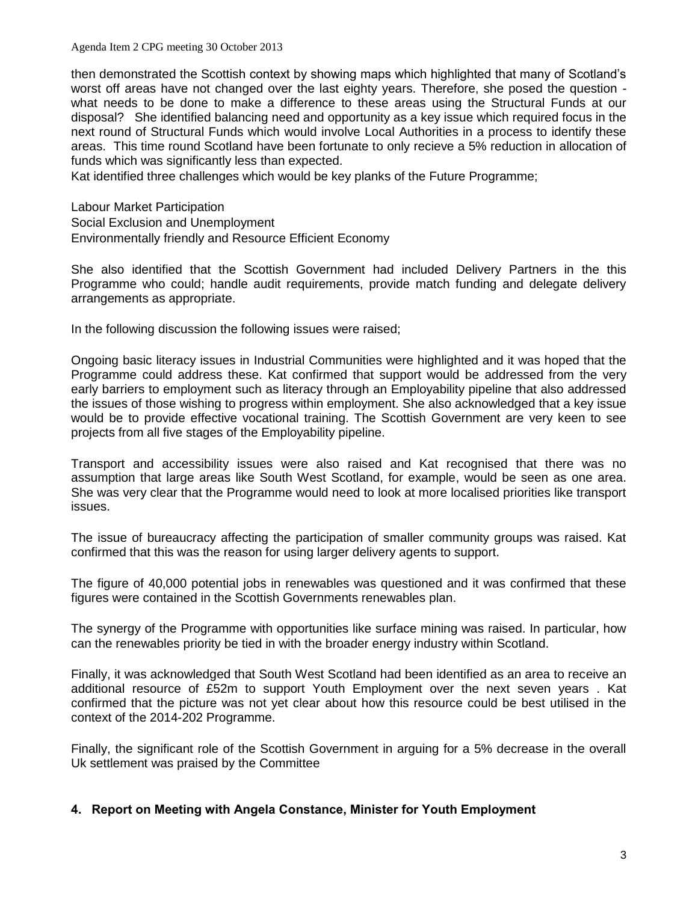Agenda Item 2 CPG meeting 30 October 2013

then demonstrated the Scottish context by showing maps which highlighted that many of Scotland's worst off areas have not changed over the last eighty years. Therefore, she posed the question what needs to be done to make a difference to these areas using the Structural Funds at our disposal? She identified balancing need and opportunity as a key issue which required focus in the next round of Structural Funds which would involve Local Authorities in a process to identify these areas. This time round Scotland have been fortunate to only recieve a 5% reduction in allocation of funds which was significantly less than expected.

Kat identified three challenges which would be key planks of the Future Programme;

Labour Market Participation Social Exclusion and Unemployment Environmentally friendly and Resource Efficient Economy

She also identified that the Scottish Government had included Delivery Partners in the this Programme who could; handle audit requirements, provide match funding and delegate delivery arrangements as appropriate.

In the following discussion the following issues were raised;

Ongoing basic literacy issues in Industrial Communities were highlighted and it was hoped that the Programme could address these. Kat confirmed that support would be addressed from the very early barriers to employment such as literacy through an Employability pipeline that also addressed the issues of those wishing to progress within employment. She also acknowledged that a key issue would be to provide effective vocational training. The Scottish Government are very keen to see projects from all five stages of the Employability pipeline.

Transport and accessibility issues were also raised and Kat recognised that there was no assumption that large areas like South West Scotland, for example, would be seen as one area. She was very clear that the Programme would need to look at more localised priorities like transport issues.

The issue of bureaucracy affecting the participation of smaller community groups was raised. Kat confirmed that this was the reason for using larger delivery agents to support.

The figure of 40,000 potential jobs in renewables was questioned and it was confirmed that these figures were contained in the Scottish Governments renewables plan.

The synergy of the Programme with opportunities like surface mining was raised. In particular, how can the renewables priority be tied in with the broader energy industry within Scotland.

Finally, it was acknowledged that South West Scotland had been identified as an area to receive an additional resource of £52m to support Youth Employment over the next seven years . Kat confirmed that the picture was not yet clear about how this resource could be best utilised in the context of the 2014-202 Programme.

Finally, the significant role of the Scottish Government in arguing for a 5% decrease in the overall Uk settlement was praised by the Committee

## **4. Report on Meeting with Angela Constance, Minister for Youth Employment**